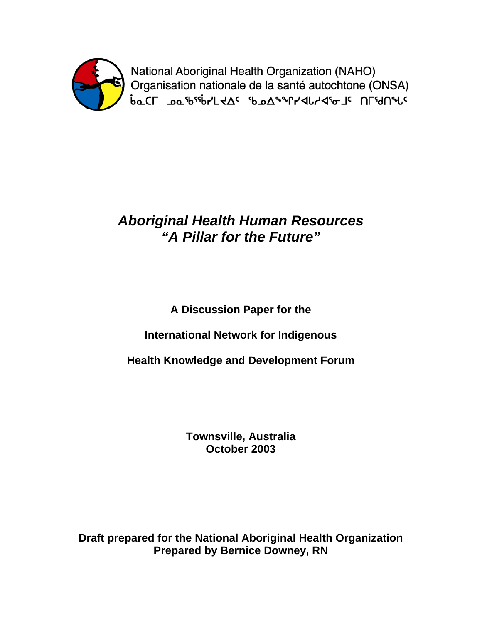

National Aboriginal Health Organization (NAHO) Organisation nationale de la santé autochtone (ONSA) **baCL שפ<sub>ט</sub>ף איף דאלה AP-AP-AP-AP-CL שפיטיקר אלי** 

# *Aboriginal Health Human Resources "A Pillar for the Future"*

# **A Discussion Paper for the**

## **International Network for Indigenous**

**Health Knowledge and Development Forum** 

**Townsville, Australia October 2003** 

**Draft prepared for the National Aboriginal Health Organization Prepared by Bernice Downey, RN**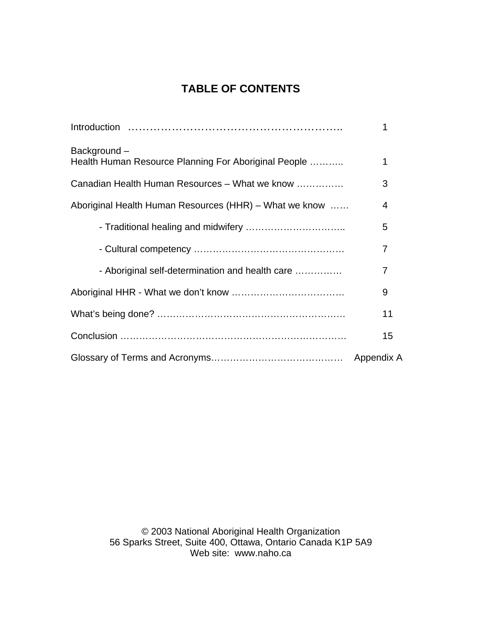## **TABLE OF CONTENTS**

|                                                                     | 1                        |
|---------------------------------------------------------------------|--------------------------|
| Background-<br>Health Human Resource Planning For Aboriginal People | 1                        |
| Canadian Health Human Resources - What we know                      | 3                        |
| Aboriginal Health Human Resources (HHR) - What we know              | $\overline{\mathcal{A}}$ |
|                                                                     | 5                        |
|                                                                     | 7                        |
| - Aboriginal self-determination and health care                     | $\overline{7}$           |
|                                                                     | 9                        |
|                                                                     | 11                       |
|                                                                     | 15                       |
|                                                                     |                          |

© 2003 National Aboriginal Health Organization 56 Sparks Street, Suite 400, Ottawa, Ontario Canada K1P 5A9 Web site: www.naho.ca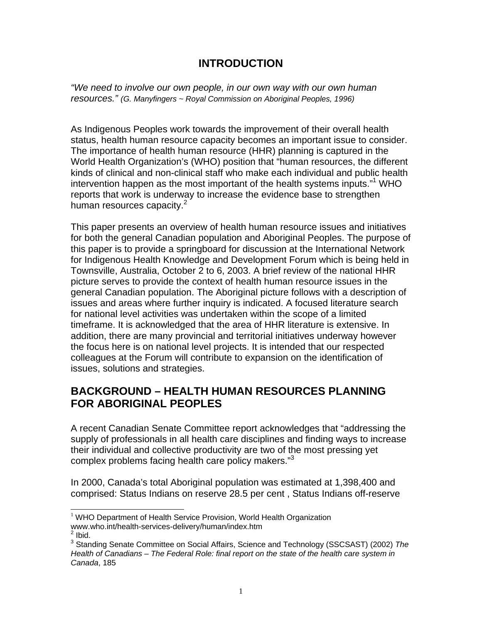### **INTRODUCTION**

*"We need to involve our own people, in our own way with our own human resources." (G. Manyfingers ~ Royal Commission on Aboriginal Peoples, 1996)* 

As Indigenous Peoples work towards the improvement of their overall health status, health human resource capacity becomes an important issue to consider. The importance of health human resource (HHR) planning is captured in the World Health Organization's (WHO) position that "human resources, the different kinds of clinical and non-clinical staff who make each individual and public health intervention happen as the most important of the health systems inputs."1 WHO reports that work is underway to increase the evidence base to strengthen human resources capacity.<sup>2</sup>

This paper presents an overview of health human resource issues and initiatives for both the general Canadian population and Aboriginal Peoples. The purpose of this paper is to provide a springboard for discussion at the International Network for Indigenous Health Knowledge and Development Forum which is being held in Townsville, Australia, October 2 to 6, 2003. A brief review of the national HHR picture serves to provide the context of health human resource issues in the general Canadian population. The Aboriginal picture follows with a description of issues and areas where further inquiry is indicated. A focused literature search for national level activities was undertaken within the scope of a limited timeframe. It is acknowledged that the area of HHR literature is extensive. In addition, there are many provincial and territorial initiatives underway however the focus here is on national level projects. It is intended that our respected colleagues at the Forum will contribute to expansion on the identification of issues, solutions and strategies.

## **BACKGROUND – HEALTH HUMAN RESOURCES PLANNING FOR ABORIGINAL PEOPLES**

A recent Canadian Senate Committee report acknowledges that "addressing the supply of professionals in all health care disciplines and finding ways to increase their individual and collective productivity are two of the most pressing yet complex problems facing health care policy makers."<sup>3</sup>

In 2000, Canada's total Aboriginal population was estimated at 1,398,400 and comprised: Status Indians on reserve 28.5 per cent , Status Indians off-reserve

l

 $1$  WHO Department of Health Service Provision, World Health Organization www.who.int/health-services-delivery/human/index.htm 2  $2$  Ibid.

<sup>3</sup> Standing Senate Committee on Social Affairs, Science and Technology (SSCSAST) (2002) *The Health of Canadians – The Federal Role: final report on the state of the health care system in Canada*, 185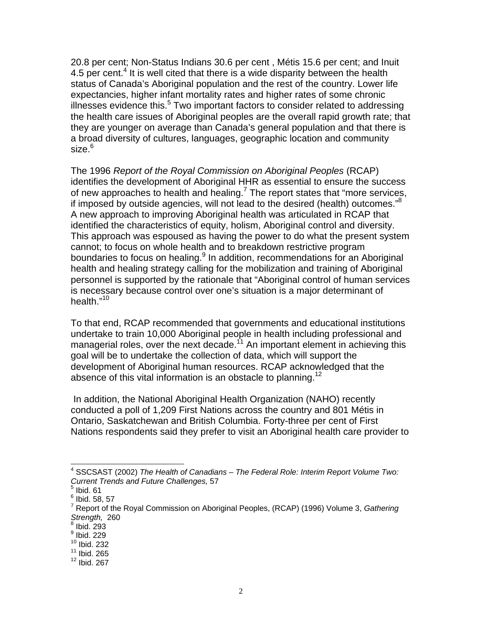20.8 per cent; Non-Status Indians 30.6 per cent , Métis 15.6 per cent; and Inuit 4.5 per cent.<sup>4</sup> It is well cited that there is a wide disparity between the health status of Canada's Aboriginal population and the rest of the country. Lower life expectancies, higher infant mortality rates and higher rates of some chronic illnesses evidence this. $5$  Two important factors to consider related to addressing the health care issues of Aboriginal peoples are the overall rapid growth rate; that they are younger on average than Canada's general population and that there is a broad diversity of cultures, languages, geographic location and community size.<sup>6</sup>

The 1996 *Report of the Royal Commission on Aboriginal Peoples* (RCAP) identifies the development of Aboriginal HHR as essential to ensure the success of new approaches to health and healing.<sup>7</sup> The report states that "more services, if imposed by outside agencies, will not lead to the desired (health) outcomes."<sup>8</sup> A new approach to improving Aboriginal health was articulated in RCAP that identified the characteristics of equity, holism, Aboriginal control and diversity. This approach was espoused as having the power to do what the present system cannot; to focus on whole health and to breakdown restrictive program boundaries to focus on healing.<sup>9</sup> In addition, recommendations for an Aboriginal health and healing strategy calling for the mobilization and training of Aboriginal personnel is supported by the rationale that "Aboriginal control of human services is necessary because control over one's situation is a major determinant of health."<sup>10</sup>

To that end, RCAP recommended that governments and educational institutions undertake to train 10,000 Aboriginal people in health including professional and managerial roles, over the next decade.<sup>11</sup> An important element in achieving this goal will be to undertake the collection of data, which will support the development of Aboriginal human resources. RCAP acknowledged that the absence of this vital information is an obstacle to planning.<sup>12</sup>

 In addition, the National Aboriginal Health Organization (NAHO) recently conducted a poll of 1,209 First Nations across the country and 801 Métis in Ontario, Saskatchewan and British Columbia. Forty-three per cent of First Nations respondents said they prefer to visit an Aboriginal health care provider to

 $\overline{a}$ 

<sup>4</sup> SSCSAST (2002) *The Health of Canadians – The Federal Role: Interim Report Volume Two: Current Trends and Future Challenges,* 57

 $<sup>5</sup>$  Ibid. 61</sup>

 $^6$  Ibid. 58, 57

<sup>7</sup> Report of the Royal Commission on Aboriginal Peoples, (RCAP) (1996) Volume 3, *Gathering Strength,* 260

 $8$  Ibid. 293

<sup>&</sup>lt;sup>9</sup> Ibid. 229

 $10$  Ibid. 232

 $11$  Ibid. 265

 $12$  lbid. 267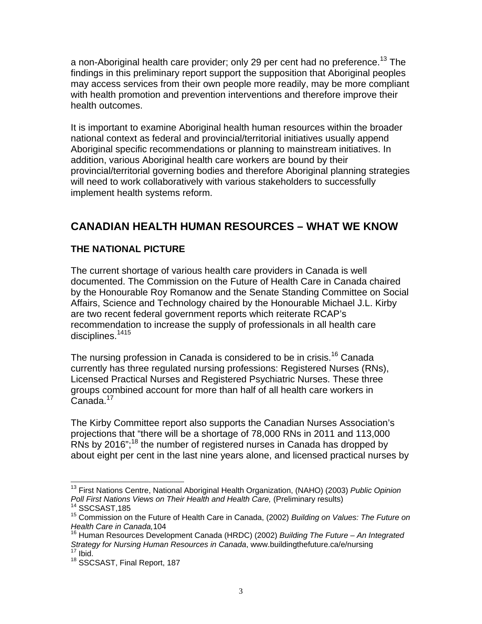a non-Aboriginal health care provider; only 29 per cent had no preference.<sup>13</sup> The findings in this preliminary report support the supposition that Aboriginal peoples may access services from their own people more readily, may be more compliant with health promotion and prevention interventions and therefore improve their health outcomes.

It is important to examine Aboriginal health human resources within the broader national context as federal and provincial/territorial initiatives usually append Aboriginal specific recommendations or planning to mainstream initiatives. In addition, various Aboriginal health care workers are bound by their provincial/territorial governing bodies and therefore Aboriginal planning strategies will need to work collaboratively with various stakeholders to successfully implement health systems reform.

## **CANADIAN HEALTH HUMAN RESOURCES – WHAT WE KNOW**

#### **THE NATIONAL PICTURE**

The current shortage of various health care providers in Canada is well documented. The Commission on the Future of Health Care in Canada chaired by the Honourable Roy Romanow and the Senate Standing Committee on Social Affairs, Science and Technology chaired by the Honourable Michael J.L. Kirby are two recent federal government reports which reiterate RCAP's recommendation to increase the supply of professionals in all health care disciplines.<sup>1415</sup>

The nursing profession in Canada is considered to be in crisis.<sup>16</sup> Canada currently has three regulated nursing professions: Registered Nurses (RNs), Licensed Practical Nurses and Registered Psychiatric Nurses. These three groups combined account for more than half of all health care workers in Canada.<sup>17</sup>

The Kirby Committee report also supports the Canadian Nurses Association's projections that "there will be a shortage of 78,000 RNs in 2011 and 113,000 RNs by 2016";<sup>18</sup> the number of registered nurses in Canada has dropped by about eight per cent in the last nine years alone, and licensed practical nurses by

l 13 First Nations Centre, National Aboriginal Health Organization, (NAHO) (2003) *Public Opinion Poll First Nations Views on Their Health and Health Care,* (Preliminary results)<br><sup>14</sup> SSCSAST.185

<sup>15</sup> Commission on the Future of Health Care in Canada, (2002) *Building on Values: The Future on Health Care in Canada,*104

<sup>16</sup> Human Resources Development Canada (HRDC) (2002) *Building The Future – An Integrated Strategy for Nursing Human Resources in Canada*, www.buildingthefuture.ca/e/nursing <sup>17</sup> Ibid.

<sup>18</sup> SSCSAST, Final Report, 187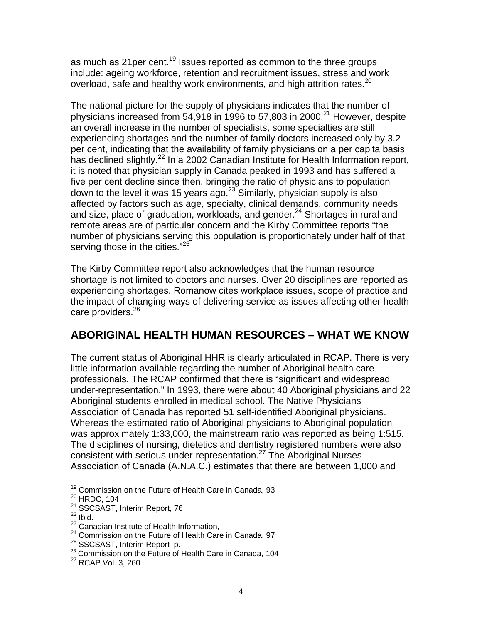as much as 21 per cent.<sup>19</sup> Issues reported as common to the three groups include: ageing workforce, retention and recruitment issues, stress and work overload, safe and healthy work environments, and high attrition rates.<sup>20</sup>

The national picture for the supply of physicians indicates that the number of physicians increased from 54,918 in 1996 to 57,803 in 2000.<sup>21</sup> However, despite an overall increase in the number of specialists, some specialties are still experiencing shortages and the number of family doctors increased only by 3.2 per cent, indicating that the availability of family physicians on a per capita basis has declined slightly.<sup>22</sup> In a 2002 Canadian Institute for Health Information report, it is noted that physician supply in Canada peaked in 1993 and has suffered a five per cent decline since then, bringing the ratio of physicians to population down to the level it was 15 years ago.<sup>23</sup> Similarly*,* physician supply is also affected by factors such as age, specialty, clinical demands, community needs and size, place of graduation, workloads, and gender. $^{24}$  Shortages in rural and remote areas are of particular concern and the Kirby Committee reports "the number of physicians serving this population is proportionately under half of that serving those in the cities."<sup>25</sup>

The Kirby Committee report also acknowledges that the human resource shortage is not limited to doctors and nurses. Over 20 disciplines are reported as experiencing shortages. Romanow cites workplace issues, scope of practice and the impact of changing ways of delivering service as issues affecting other health care providers.<sup>26</sup>

## **ABORIGINAL HEALTH HUMAN RESOURCES – WHAT WE KNOW**

The current status of Aboriginal HHR is clearly articulated in RCAP. There is very little information available regarding the number of Aboriginal health care professionals. The RCAP confirmed that there is "significant and widespread under-representation." In 1993, there were about 40 Aboriginal physicians and 22 Aboriginal students enrolled in medical school. The Native Physicians Association of Canada has reported 51 self-identified Aboriginal physicians. Whereas the estimated ratio of Aboriginal physicians to Aboriginal population was approximately 1:33,000, the mainstream ratio was reported as being 1:515. The disciplines of nursing, dietetics and dentistry registered numbers were also consistent with serious under-representation.27 The Aboriginal Nurses Association of Canada (A.N.A.C.) estimates that there are between 1,000 and

l <sup>19</sup> Commission on the Future of Health Care in Canada, 93

<sup>20</sup> HRDC, 104

 $21$  SSCSAST, Interim Report, 76<br> $22$  Ibid.

<sup>&</sup>lt;sup>23</sup> Canadian Institute of Health Information,

<sup>24</sup> Commission on the Future of Health Care in Canada, 97<br>25 SSCSAST, Interim Report p.

 $26$  Commission on the Future of Health Care in Canada, 104

<sup>27</sup> RCAP Vol. 3, 260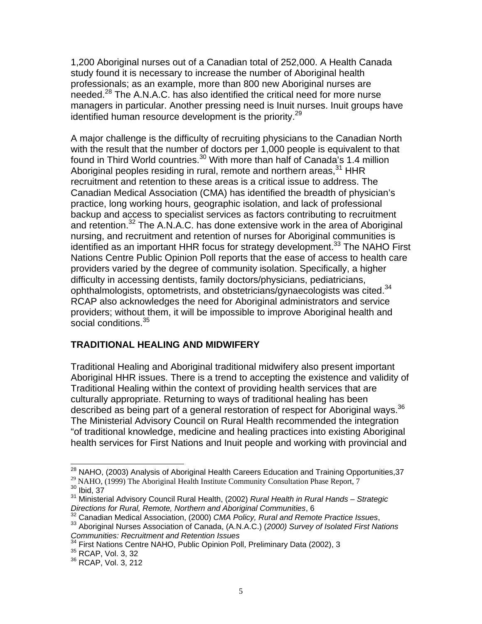1,200 Aboriginal nurses out of a Canadian total of 252,000. A Health Canada study found it is necessary to increase the number of Aboriginal health professionals; as an example, more than 800 new Aboriginal nurses are needed.<sup>28</sup> The A.N.A.C. has also identified the critical need for more nurse managers in particular. Another pressing need is Inuit nurses. Inuit groups have identified human resource development is the priority.<sup>29</sup>

A major challenge is the difficulty of recruiting physicians to the Canadian North with the result that the number of doctors per 1,000 people is equivalent to that found in Third World countries.<sup>30</sup> With more than half of Canada's 1.4 million Aboriginal peoples residing in rural, remote and northern areas,  $31$  HHR recruitment and retention to these areas is a critical issue to address. The Canadian Medical Association (CMA) has identified the breadth of physician's practice, long working hours, geographic isolation, and lack of professional backup and access to specialist services as factors contributing to recruitment and retention.<sup>32</sup> The A.N.A.C. has done extensive work in the area of Aboriginal nursing, and recruitment and retention of nurses for Aboriginal communities is identified as an important HHR focus for strategy development.<sup>33</sup> The NAHO First Nations Centre Public Opinion Poll reports that the ease of access to health care providers varied by the degree of community isolation. Specifically, a higher difficulty in accessing dentists, family doctors/physicians, pediatricians, ophthalmologists, optometrists, and obstetricians/gynaecologists was cited.<sup>34</sup> RCAP also acknowledges the need for Aboriginal administrators and service providers; without them, it will be impossible to improve Aboriginal health and social conditions.<sup>35</sup>

#### **TRADITIONAL HEALING AND MIDWIFERY**

Traditional Healing and Aboriginal traditional midwifery also present important Aboriginal HHR issues. There is a trend to accepting the existence and validity of Traditional Healing within the context of providing health services that are culturally appropriate. Returning to ways of traditional healing has been described as being part of a general restoration of respect for Aboriginal ways.<sup>36</sup> The Ministerial Advisory Council on Rural Health recommended the integration "of traditional knowledge, medicine and healing practices into existing Aboriginal health services for First Nations and Inuit people and working with provincial and

 $\overline{a}$ 

 $^{28}$  NAHO, (2003) Analysis of Aboriginal Health Careers Education and Training Opportunities, 37

<sup>&</sup>lt;sup>29</sup> NAHO, (1999) The Aboriginal Health Institute Community Consultation Phase Report, 7

 $30$  Ibid, 37

<sup>31</sup> Ministerial Advisory Council Rural Health, (2002) *Rural Health in Rural Hands – Strategic Directions for Rural, Remote, Northern and Aboriginal Communities*, 6

<sup>&</sup>lt;sup>33</sup> Aboriginal Nurses Association of Canada, (A.N.A.C.) (2000) Survey of Isolated First Nations *Communities: Recruitment and Retention Issues* 

<sup>&</sup>lt;sup>34</sup> First Nations Centre NAHO, Public Opinion Poll, Preliminary Data (2002), 3<br><sup>35</sup> RCAP, Vol. 3, 32

<sup>&</sup>lt;sup>35</sup> RCAP, Vol. 3, 32<br><sup>36</sup> RCAP, Vol. 3, 212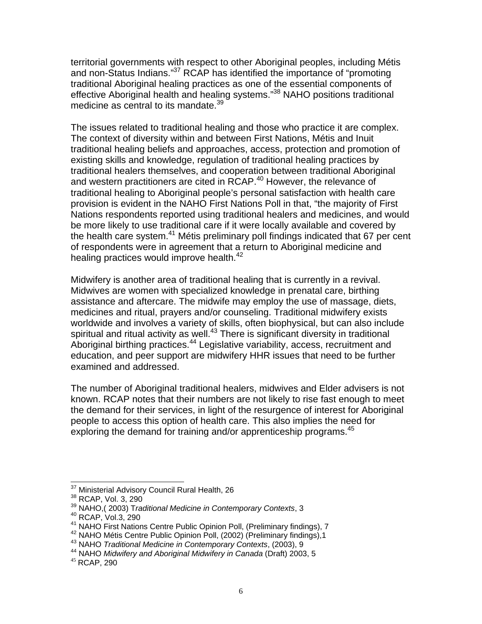territorial governments with respect to other Aboriginal peoples, including Métis and non-Status Indians."<sup>37</sup> RCAP has identified the importance of "promoting" traditional Aboriginal healing practices as one of the essential components of effective Aboriginal health and healing systems."38 NAHO positions traditional medicine as central to its mandate.<sup>39</sup>

The issues related to traditional healing and those who practice it are complex. The context of diversity within and between First Nations, Métis and Inuit traditional healing beliefs and approaches, access, protection and promotion of existing skills and knowledge, regulation of traditional healing practices by traditional healers themselves, and cooperation between traditional Aboriginal and western practitioners are cited in RCAP.<sup>40</sup> However, the relevance of traditional healing to Aboriginal people's personal satisfaction with health care provision is evident in the NAHO First Nations Poll in that, "the majority of First Nations respondents reported using traditional healers and medicines, and would be more likely to use traditional care if it were locally available and covered by the health care system.<sup>41</sup> Métis preliminary poll findings indicated that 67 per cent of respondents were in agreement that a return to Aboriginal medicine and healing practices would improve health. $42$ 

Midwifery is another area of traditional healing that is currently in a revival. Midwives are women with specialized knowledge in prenatal care, birthing assistance and aftercare. The midwife may employ the use of massage, diets, medicines and ritual, prayers and/or counseling. Traditional midwifery exists worldwide and involves a variety of skills, often biophysical, but can also include spiritual and ritual activity as well. $43$  There is significant diversity in traditional Aboriginal birthing practices.<sup>44</sup> Legislative variability, access, recruitment and education, and peer support are midwifery HHR issues that need to be further examined and addressed.

The number of Aboriginal traditional healers, midwives and Elder advisers is not known. RCAP notes that their numbers are not likely to rise fast enough to meet the demand for their services, in light of the resurgence of interest for Aboriginal people to access this option of health care. This also implies the need for exploring the demand for training and/or apprenticeship programs.<sup>45</sup>

l <sup>37</sup> Ministerial Advisory Council Rural Health, 26<br><sup>38</sup> RCAP, Vol. 3, 290

<sup>&</sup>lt;sup>38</sup> RCAP, Vol. 3, 290<br><sup>39</sup> NAHO,( 2003) T*raditional Medicine in Contemporary Contexts*, 3

<sup>&</sup>lt;sup>40</sup> RCAP, Vol.3, 290<br><sup>41</sup> NAHO First Nations Centre Public Opinion Poll, (Preliminary findings), 7

<sup>&</sup>lt;sup>42</sup> NAHO Métis Centre Public Opinion Poll, (2002) (Preliminary findings), 1<br><sup>43</sup> NAHO *Traditional Medicine in Contemporary Contexts*, (2003), 9<br><sup>44</sup> NAHO *Midwifery and Aboriginal Midwifery in Canada* (Draft) 2003, 5<br><sup>45</sup>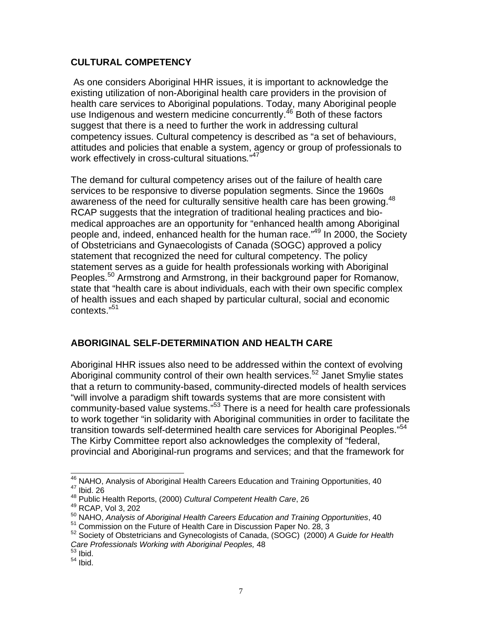#### **CULTURAL COMPETENCY**

As one considers Aboriginal HHR issues, it is important to acknowledge the existing utilization of non-Aboriginal health care providers in the provision of health care services to Aboriginal populations. Today, many Aboriginal people use Indigenous and western medicine concurrently.<sup>46</sup> Both of these factors suggest that there is a need to further the work in addressing cultural competency issues. Cultural competency is described as "a set of behaviours, attitudes and policies that enable a system, agency or group of professionals to work effectively in cross-cultural situations*.*" 47

The demand for cultural competency arises out of the failure of health care services to be responsive to diverse population segments. Since the 1960s awareness of the need for culturally sensitive health care has been growing.<sup>48</sup> RCAP suggests that the integration of traditional healing practices and biomedical approaches are an opportunity for "enhanced health among Aboriginal people and, indeed, enhanced health for the human race."<sup>49</sup> In 2000, the Society of Obstetricians and Gynaecologists of Canada (SOGC) approved a policy statement that recognized the need for cultural competency. The policy statement serves as a guide for health professionals working with Aboriginal Peoples.<sup>50</sup> Armstrong and Armstrong, in their background paper for Romanow, state that "health care is about individuals, each with their own specific complex of health issues and each shaped by particular cultural, social and economic contexts."51

#### **ABORIGINAL SELF-DETERMINATION AND HEALTH CARE**

Aboriginal HHR issues also need to be addressed within the context of evolving Aboriginal community control of their own health services.<sup>52</sup> Janet Smylie states that a return to community-based, community-directed models of health services "will involve a paradigm shift towards systems that are more consistent with community-based value systems."53 There is a need for health care professionals to work together "in solidarity with Aboriginal communities in order to facilitate the transition towards self-determined health care services for Aboriginal Peoples."<sup>54</sup> The Kirby Committee report also acknowledges the complexity of "federal, provincial and Aboriginal-run programs and services; and that the framework for

 $\overline{\phantom{a}}$ 

 $^{46}$  NAHO, Analysis of Aboriginal Health Careers Education and Training Opportunities, 40<br> $^{47}$  Ibid. 26

<sup>48</sup> Public Health Reports, (2000) *Cultural Competent Health Care*, 26

<sup>49</sup> RCAP, Vol 3, 202

<sup>&</sup>lt;sup>50</sup> NAHO, *Analysis of Aboriginal Health Careers Education and Training Opportunities*, 40<br><sup>51</sup> Commission on the Future of Health Care in Discussion Paper No. 28, 3

<sup>51</sup> Commission on the Future of Health Care in Discussion Paper No. 28, 3 52 Society of Obstetricians and Gynecologists of Canada, (SOGC) (2000) *A Guide for Health Care Professionals Working with Aboriginal Peoples,* 48

 $^{53}$  Ibid.

 $54$  Ibid.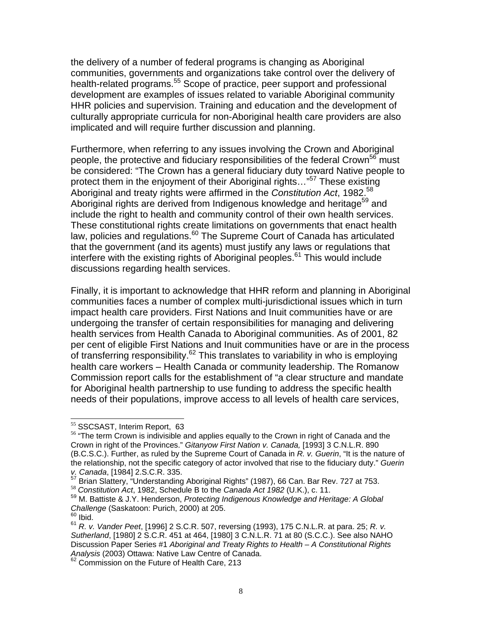the delivery of a number of federal programs is changing as Aboriginal communities, governments and organizations take control over the delivery of health-related programs.<sup>55</sup> Scope of practice, peer support and professional development are examples of issues related to variable Aboriginal community HHR policies and supervision. Training and education and the development of culturally appropriate curricula for non-Aboriginal health care providers are also implicated and will require further discussion and planning.

Furthermore, when referring to any issues involving the Crown and Aboriginal people, the protective and fiduciary responsibilities of the federal Crown<sup>56</sup> must be considered: "The Crown has a general fiduciary duty toward Native people to protect them in the enjoyment of their Aboriginal rights..."<sup>57</sup> These existing Aboriginal and treaty rights were affirmed in the *Constitution Act*, 1982.<sup>58</sup> Aboriginal rights are derived from Indigenous knowledge and heritage<sup>59</sup> and include the right to health and community control of their own health services. These constitutional rights create limitations on governments that enact health law, policies and regulations.<sup>60</sup> The Supreme Court of Canada has articulated that the government (and its agents) must justify any laws or regulations that interfere with the existing rights of Aboriginal peoples.<sup>61</sup> This would include discussions regarding health services.

Finally, it is important to acknowledge that HHR reform and planning in Aboriginal communities faces a number of complex multi-jurisdictional issues which in turn impact health care providers. First Nations and Inuit communities have or are undergoing the transfer of certain responsibilities for managing and delivering health services from Health Canada to Aboriginal communities. As of 2001, 82 per cent of eligible First Nations and Inuit communities have or are in the process of transferring responsibility.<sup>62</sup> This translates to variability in who is employing health care workers – Health Canada or community leadership. The Romanow Commission report calls for the establishment of "a clear structure and mandate for Aboriginal health partnership to use funding to address the specific health needs of their populations, improve access to all levels of health care services,

<sup>&</sup>lt;sup>55</sup> SSCSAST, Interim Report, 63

<sup>&</sup>lt;sup>56</sup> "The term Crown is indivisible and applies equally to the Crown in right of Canada and the Crown in right of the Provinces." *Gitanyow First Nation v. Canada,* [1993] 3 C.N.L.R. 890 (B.C.S.C.). Further, as ruled by the Supreme Court of Canada in *R. v. Guerin*, "It is the nature of the relationship, not the specific category of actor involved that rise to the fiduciary duty." *Guerin* 

*v. Canada*, [1984] 2.S.C.R. 335.

<sup>&</sup>lt;sup>58</sup> Constitution Act, 1982, Schedule B to the Canada Act 1982 (U.K.), c. 11.<br><sup>59</sup> M. Battiste & J.Y. Henderson, *Protecting Indigenous Knowledge and Heritage: A Global Challenge* (Saskatoon: Purich, 2000) at 205.<br><sup>60</sup> Ibid.

<sup>61</sup> *R. v. Vander Peet*, [1996] 2 S.C.R. 507, reversing (1993), 175 C.N.L.R. at para. 25; *R. v. Sutherland*, [1980] 2 S.C.R. 451 at 464, [1980] 3 C.N.L.R. 71 at 80 (S.C.C.). See also NAHO Discussion Paper Series #1 *Aboriginal and Treaty Rights to Health – A Constitutional Rights Analysis* (2003) Ottawa: Native Law Centre of Canada.

 $2^2$  Commission on the Future of Health Care, 213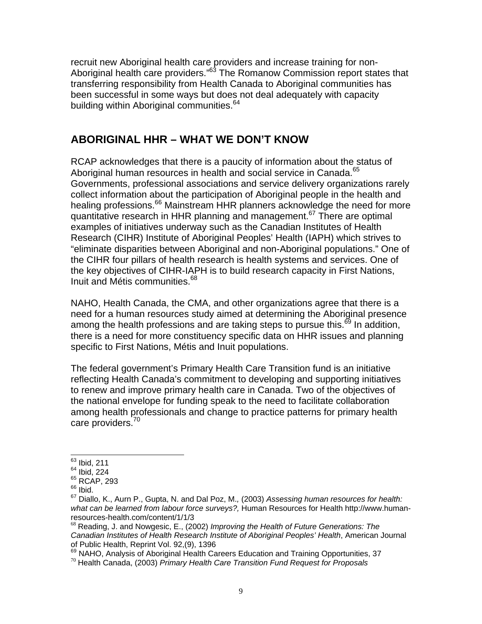recruit new Aboriginal health care providers and increase training for non-Aboriginal health care providers."<sup>63</sup> The Romanow Commission report states that transferring responsibility from Health Canada to Aboriginal communities has been successful in some ways but does not deal adequately with capacity building within Aboriginal communities.<sup>64</sup>

### **ABORIGINAL HHR – WHAT WE DON'T KNOW**

RCAP acknowledges that there is a paucity of information about the status of Aboriginal human resources in health and social service in Canada.<sup>65</sup> Governments, professional associations and service delivery organizations rarely collect information about the participation of Aboriginal people in the health and healing professions.<sup>66</sup> Mainstream HHR planners acknowledge the need for more quantitative research in HHR planning and management.67 There are optimal examples of initiatives underway such as the Canadian Institutes of Health Research (CIHR) Institute of Aboriginal Peoples' Health (IAPH) which strives to "eliminate disparities between Aboriginal and non-Aboriginal populations." One of the CIHR four pillars of health research is health systems and services. One of the key objectives of CIHR-IAPH is to build research capacity in First Nations, Inuit and Métis communities.<sup>68</sup>

NAHO, Health Canada, the CMA, and other organizations agree that there is a need for a human resources study aimed at determining the Aboriginal presence among the health professions and are taking steps to pursue this. $^{69}$  In addition, there is a need for more constituency specific data on HHR issues and planning specific to First Nations, Métis and Inuit populations.

The federal government's Primary Health Care Transition fund is an initiative reflecting Health Canada's commitment to developing and supporting initiatives to renew and improve primary health care in Canada. Two of the objectives of the national envelope for funding speak to the need to facilitate collaboration among health professionals and change to practice patterns for primary health care providers.<sup>70</sup>

 $\overline{a}$ 

<sup>&</sup>lt;sup>63</sup> Ibid, 211

 $64$  Ibid, 224

<sup>&</sup>lt;sup>65</sup> RCAP, 293

 $66$  Ibid.

<sup>67</sup> Diallo, K., Aurn P., Gupta, N. and Dal Poz, M.*,* (2003) *Assessing human resources for health: what can be learned from labour force surveys?,* Human Resources for Health http://www.humanresources-health.com/content/1/1/3

<sup>68</sup> Reading, J. and Nowgesic, E., (2002) *Improving the Health of Future Generations: The Canadian Institutes of Health Research Institute of Aboriginal Peoples' Health*, American Journal of Public Health, Reprint Vol. 92,(9), 1396

<sup>69</sup> NAHO, Analysis of Aboriginal Health Careers Education and Training Opportunities, 37<br><sup>70</sup> Health Canada, (2003) *Primary Health Care Transition Fund Request for Proposals*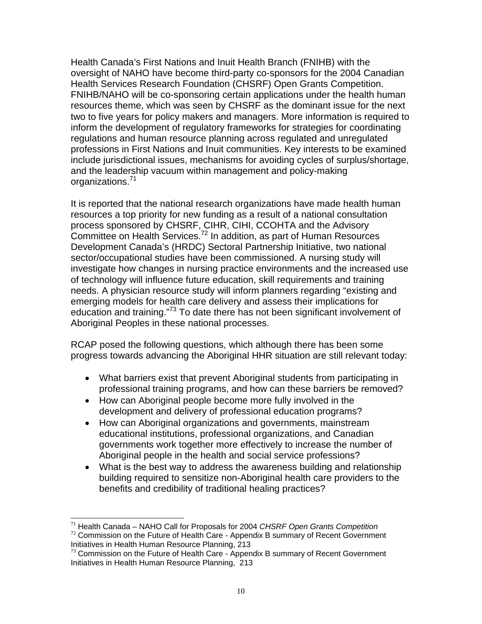Health Canada's First Nations and Inuit Health Branch (FNIHB) with the oversight of NAHO have become third-party co-sponsors for the 2004 Canadian Health Services Research Foundation (CHSRF) Open Grants Competition. FNIHB/NAHO will be co-sponsoring certain applications under the health human resources theme, which was seen by CHSRF as the dominant issue for the next two to five years for policy makers and managers. More information is required to inform the development of regulatory frameworks for strategies for coordinating regulations and human resource planning across regulated and unregulated professions in First Nations and Inuit communities. Key interests to be examined include jurisdictional issues, mechanisms for avoiding cycles of surplus/shortage, and the leadership vacuum within management and policy-making organizations.<sup>71</sup>

It is reported that the national research organizations have made health human resources a top priority for new funding as a result of a national consultation process sponsored by CHSRF, CIHR, CIHI, CCOHTA and the Advisory Committee on Health Services.<sup>72</sup> In addition, as part of Human Resources Development Canada's (HRDC) Sectoral Partnership Initiative, two national sector/occupational studies have been commissioned. A nursing study will investigate how changes in nursing practice environments and the increased use of technology will influence future education, skill requirements and training needs. A physician resource study will inform planners regarding "existing and emerging models for health care delivery and assess their implications for education and training.<sup>"73</sup> To date there has not been significant involvement of Aboriginal Peoples in these national processes.

RCAP posed the following questions, which although there has been some progress towards advancing the Aboriginal HHR situation are still relevant today:

- What barriers exist that prevent Aboriginal students from participating in professional training programs, and how can these barriers be removed?
- How can Aboriginal people become more fully involved in the development and delivery of professional education programs?
- How can Aboriginal organizations and governments, mainstream educational institutions, professional organizations, and Canadian governments work together more effectively to increase the number of Aboriginal people in the health and social service professions?
- What is the best way to address the awareness building and relationship building required to sensitize non-Aboriginal health care providers to the benefits and credibility of traditional healing practices?

 $\overline{\phantom{a}}$ 

<sup>71</sup> Health Canada – NAHO Call for Proposals for 2004 *CHSRF Open Grants Competition* <sup>72</sup> Commission on the Future of Health Care - Appendix B summary of Recent Government

Initiatives in Health Human Resource Planning, 213

 $73$  Commission on the Future of Health Care - Appendix B summary of Recent Government Initiatives in Health Human Resource Planning, 213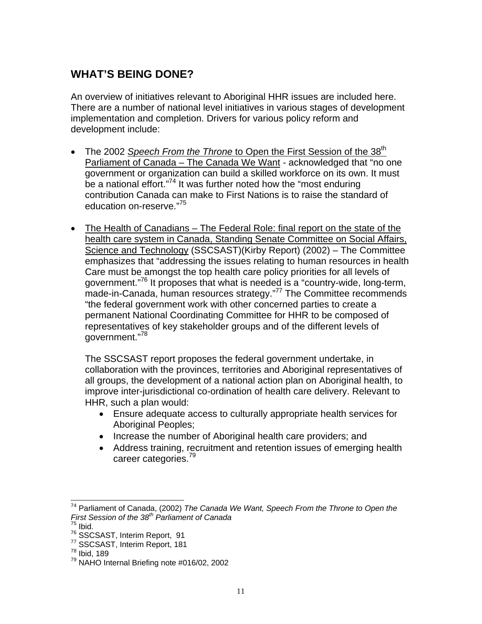## **WHAT'S BEING DONE?**

An overview of initiatives relevant to Aboriginal HHR issues are included here. There are a number of national level initiatives in various stages of development implementation and completion. Drivers for various policy reform and development include:

- The 2002 *Speech From the Throne* to Open the First Session of the 38<sup>th</sup> Parliament of Canada – The Canada We Want - acknowledged that "no one government or organization can build a skilled workforce on its own. It must be a national effort."<sup>74</sup> It was further noted how the "most enduring" contribution Canada can make to First Nations is to raise the standard of education on-reserve."<sup>75</sup>
- The Health of Canadians The Federal Role: final report on the state of the health care system in Canada, Standing Senate Committee on Social Affairs, Science and Technology (SSCSAST)(Kirby Report) (2002) – The Committee emphasizes that "addressing the issues relating to human resources in health Care must be amongst the top health care policy priorities for all levels of government."76 It proposes that what is needed is a "country-wide, long-term, made-in-Canada, human resources strategy."<sup>77</sup> The Committee recommends "the federal government work with other concerned parties to create a permanent National Coordinating Committee for HHR to be composed of representatives of key stakeholder groups and of the different levels of aovernment."<sup>78</sup>

The SSCSAST report proposes the federal government undertake, in collaboration with the provinces, territories and Aboriginal representatives of all groups, the development of a national action plan on Aboriginal health, to improve inter-jurisdictional co-ordination of health care delivery. Relevant to HHR, such a plan would:

- Ensure adequate access to culturally appropriate health services for Aboriginal Peoples;
- Increase the number of Aboriginal health care providers; and
- Address training, recruitment and retention issues of emerging health career categories.<sup>79</sup>

 $\frac{76}{77}$  SSCSAST, Interim Report, 91<br> $\frac{77}{78}$  SSCSAST, Interim Report, 181<br> $\frac{78}{78}$  Ibid. 189

 $\overline{\phantom{a}}$ 74 Parliament of Canada, (2002) *The Canada We Want, Speech From the Throne to Open the First Session of the 38th Parliament of Canada*

 $75$  Ibid.

<sup>79</sup> NAHO Internal Briefing note #016/02, 2002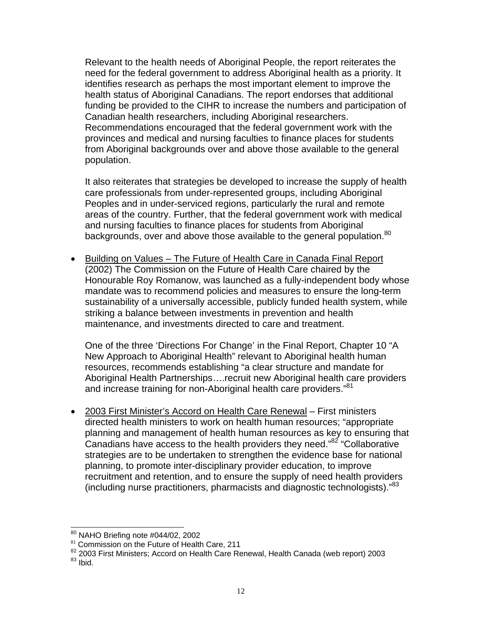Relevant to the health needs of Aboriginal People, the report reiterates the need for the federal government to address Aboriginal health as a priority. It identifies research as perhaps the most important element to improve the health status of Aboriginal Canadians. The report endorses that additional funding be provided to the CIHR to increase the numbers and participation of Canadian health researchers, including Aboriginal researchers. Recommendations encouraged that the federal government work with the provinces and medical and nursing faculties to finance places for students from Aboriginal backgrounds over and above those available to the general population.

It also reiterates that strategies be developed to increase the supply of health care professionals from under-represented groups, including Aboriginal Peoples and in under-serviced regions, particularly the rural and remote areas of the country. Further, that the federal government work with medical and nursing faculties to finance places for students from Aboriginal backgrounds, over and above those available to the general population.<sup>80</sup>

• Building on Values – The Future of Health Care in Canada Final Report (2002) The Commission on the Future of Health Care chaired by the Honourable Roy Romanow, was launched as a fully-independent body whose mandate was to recommend policies and measures to ensure the long-term sustainability of a universally accessible, publicly funded health system, while striking a balance between investments in prevention and health maintenance, and investments directed to care and treatment.

One of the three 'Directions For Change' in the Final Report, Chapter 10 "A New Approach to Aboriginal Health" relevant to Aboriginal health human resources, recommends establishing "a clear structure and mandate for Aboriginal Health Partnerships….recruit new Aboriginal health care providers and increase training for non-Aboriginal health care providers."<sup>81</sup>

• 2003 First Minister's Accord on Health Care Renewal – First ministers directed health ministers to work on health human resources; "appropriate planning and management of health human resources as key to ensuring that Canadians have access to the health providers they need."<sup>82</sup> "Collaborative strategies are to be undertaken to strengthen the evidence base for national planning, to promote inter-disciplinary provider education, to improve recruitment and retention, and to ensure the supply of need health providers (including nurse practitioners, pharmacists and diagnostic technologists)."83

<sup>&</sup>lt;sup>80</sup> NAHO Briefing note #044/02, 2002

 $81$  Commission on the Future of Health Care, 211

<sup>82 2003</sup> First Ministers; Accord on Health Care Renewal, Health Canada (web report) 2003<br>83 Ibid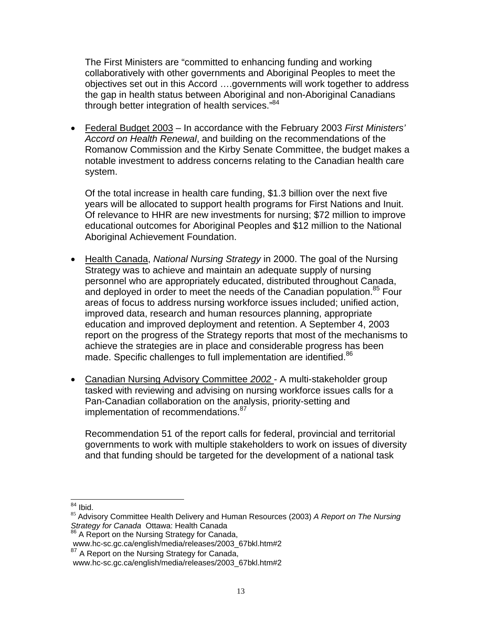The First Ministers are "committed to enhancing funding and working collaboratively with other governments and Aboriginal Peoples to meet the objectives set out in this Accord ….governments will work together to address the gap in health status between Aboriginal and non-Aboriginal Canadians through better integration of health services."<sup>84</sup>

• Federal Budget 2003 – In accordance with the February 2003 *First Ministers' Accord on Health Renewal*, and building on the recommendations of the Romanow Commission and the Kirby Senate Committee, the budget makes a notable investment to address concerns relating to the Canadian health care system.

Of the total increase in health care funding, \$1.3 billion over the next five years will be allocated to support health programs for First Nations and Inuit. Of relevance to HHR are new investments for nursing; \$72 million to improve educational outcomes for Aboriginal Peoples and \$12 million to the National Aboriginal Achievement Foundation.

- Health Canada, *National Nursing Strategy* in 2000. The goal of the Nursing Strategy was to achieve and maintain an adequate supply of nursing personnel who are appropriately educated, distributed throughout Canada, and deployed in order to meet the needs of the Canadian population.<sup>85</sup> Four areas of focus to address nursing workforce issues included; unified action, improved data, research and human resources planning, appropriate education and improved deployment and retention. A September 4, 2003 report on the progress of the Strategy reports that most of the mechanisms to achieve the strategies are in place and considerable progress has been made. Specific challenges to full implementation are identified.<sup>86</sup>
- Canadian Nursing Advisory Committee *2002*  A multi-stakeholder group tasked with reviewing and advising on nursing workforce issues calls for a Pan-Canadian collaboration on the analysis, priority-setting and implementation of recommendations.<sup>87</sup>

Recommendation 51 of the report calls for federal, provincial and territorial governments to work with multiple stakeholders to work on issues of diversity and that funding should be targeted for the development of a national task

 $84$  lbid.

<sup>&</sup>lt;sup>85</sup> Advisory Committee Health Delivery and Human Resources (2003) *A Report on The Nursing Strategy for Canada* Ottawa: Health Canada

<sup>86</sup> A Report on the Nursing Strategy for Canada,

www.hc-sc.gc.ca/english/media/releases/2003\_67bkl.htm#2

<sup>&</sup>lt;sup>87</sup> A Report on the Nursing Strategy for Canada,

www.hc-sc.gc.ca/english/media/releases/2003\_67bkl.htm#2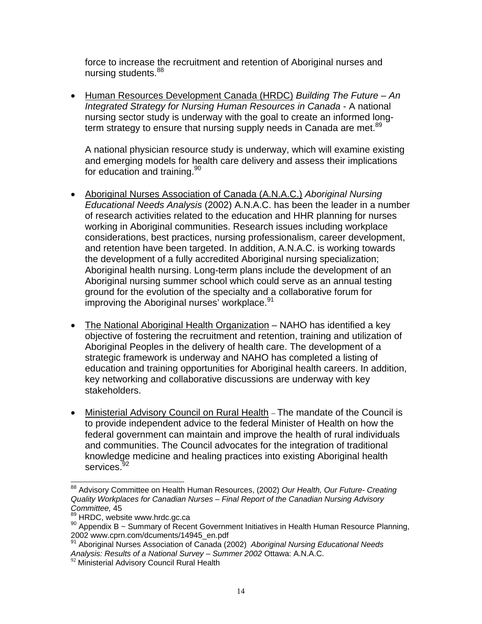force to increase the recruitment and retention of Aboriginal nurses and nursing students.<sup>88</sup>

• Human Resources Development Canada (HRDC) *Building The Future – An Integrated Strategy for Nursing Human Resources in Canada* - A national nursing sector study is underway with the goal to create an informed longterm strategy to ensure that nursing supply needs in Canada are met.<sup>89</sup>

A national physician resource study is underway, which will examine existing and emerging models for health care delivery and assess their implications for education and training.<sup>90</sup>

- Aboriginal Nurses Association of Canada (A.N.A.C.) *Aboriginal Nursing Educational Needs Analysis* (2002) A.N.A.C. has been the leader in a number of research activities related to the education and HHR planning for nurses working in Aboriginal communities. Research issues including workplace considerations, best practices, nursing professionalism, career development, and retention have been targeted. In addition, A.N.A.C. is working towards the development of a fully accredited Aboriginal nursing specialization; Aboriginal health nursing. Long-term plans include the development of an Aboriginal nursing summer school which could serve as an annual testing ground for the evolution of the specialty and a collaborative forum for improving the Aboriginal nurses' workplace.<sup>91</sup>
- The National Aboriginal Health Organization NAHO has identified a key objective of fostering the recruitment and retention, training and utilization of Aboriginal Peoples in the delivery of health care. The development of a strategic framework is underway and NAHO has completed a listing of education and training opportunities for Aboriginal health careers. In addition, key networking and collaborative discussions are underway with key stakeholders.
- Ministerial Advisory Council on Rural Health The mandate of the Council is to provide independent advice to the federal Minister of Health on how the federal government can maintain and improve the health of rural individuals and communities. The Council advocates for the integration of traditional knowledge medicine and healing practices into existing Aboriginal health services.<sup>9</sup>

l 88 Advisory Committee on Health Human Resources, (2002) *Our Health, Our Future- Creating Quality Workplaces for Canadian Nurses – Final Report of the Canadian Nursing Advisory Committee, 45*<br><sup>89</sup> HRDC, website www.hrdc.gc.ca

<sup>90</sup> Appendix B ~ Summary of Recent Government Initiatives in Health Human Resource Planning, 2002 www.cprn.com/dcuments/14945\_en.pdf

<sup>91</sup> Aboriginal Nurses Association of Canada (2002) *Aboriginal Nursing Educational Needs Analysis: Results of a National Survey – Summer 2002* Ottawa: A.N.A.C.

 $92$  Ministerial Advisory Council Rural Health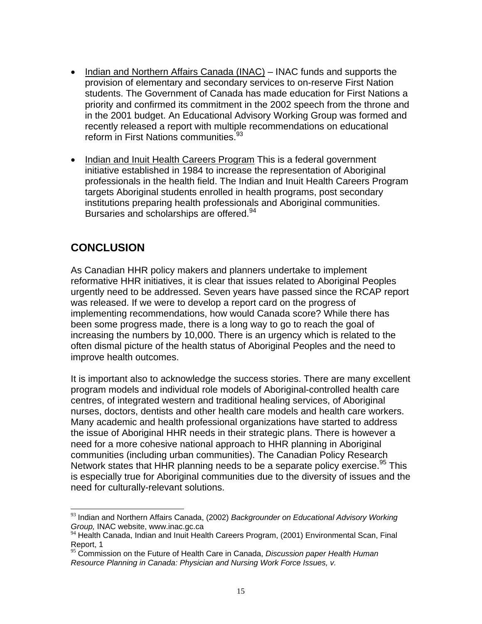- Indian and Northern Affairs Canada (INAC) INAC funds and supports the provision of elementary and secondary services to on-reserve First Nation students. The Government of Canada has made education for First Nations a priority and confirmed its commitment in the 2002 speech from the throne and in the 2001 budget. An Educational Advisory Working Group was formed and recently released a report with multiple recommendations on educational reform in First Nations communities.<sup>93</sup>
- Indian and Inuit Health Careers Program This is a federal government initiative established in 1984 to increase the representation of Aboriginal professionals in the health field. The Indian and Inuit Health Careers Program targets Aboriginal students enrolled in health programs, post secondary institutions preparing health professionals and Aboriginal communities. Bursaries and scholarships are offered.<sup>94</sup>

## **CONCLUSION**

 $\overline{\phantom{a}}$ 

As Canadian HHR policy makers and planners undertake to implement reformative HHR initiatives, it is clear that issues related to Aboriginal Peoples urgently need to be addressed. Seven years have passed since the RCAP report was released. If we were to develop a report card on the progress of implementing recommendations, how would Canada score? While there has been some progress made, there is a long way to go to reach the goal of increasing the numbers by 10,000. There is an urgency which is related to the often dismal picture of the health status of Aboriginal Peoples and the need to improve health outcomes.

It is important also to acknowledge the success stories. There are many excellent program models and individual role models of Aboriginal-controlled health care centres, of integrated western and traditional healing services, of Aboriginal nurses, doctors, dentists and other health care models and health care workers. Many academic and health professional organizations have started to address the issue of Aboriginal HHR needs in their strategic plans. There is however a need for a more cohesive national approach to HHR planning in Aboriginal communities (including urban communities). The Canadian Policy Research Network states that HHR planning needs to be a separate policy exercise.<sup>95</sup> This is especially true for Aboriginal communities due to the diversity of issues and the need for culturally-relevant solutions.

<sup>93</sup> Indian and Northern Affairs Canada, (2002) *Backgrounder on Educational Advisory Working Group,* INAC website, www.inac.gc.ca

<sup>94</sup> Health Canada, Indian and Inuit Health Careers Program, (2001) Environmental Scan, Final Report, 1

<sup>95</sup> Commission on the Future of Health Care in Canada, *Discussion paper Health Human Resource Planning in Canada: Physician and Nursing Work Force Issues, v.*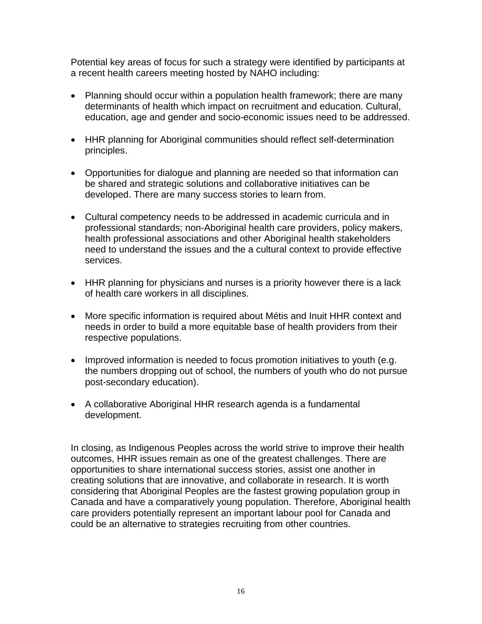Potential key areas of focus for such a strategy were identified by participants at a recent health careers meeting hosted by NAHO including:

- Planning should occur within a population health framework; there are many determinants of health which impact on recruitment and education. Cultural, education, age and gender and socio-economic issues need to be addressed.
- HHR planning for Aboriginal communities should reflect self-determination principles.
- Opportunities for dialogue and planning are needed so that information can be shared and strategic solutions and collaborative initiatives can be developed. There are many success stories to learn from.
- Cultural competency needs to be addressed in academic curricula and in professional standards; non-Aboriginal health care providers, policy makers, health professional associations and other Aboriginal health stakeholders need to understand the issues and the a cultural context to provide effective services.
- HHR planning for physicians and nurses is a priority however there is a lack of health care workers in all disciplines.
- More specific information is required about Métis and Inuit HHR context and needs in order to build a more equitable base of health providers from their respective populations.
- Improved information is needed to focus promotion initiatives to youth (e.g. the numbers dropping out of school, the numbers of youth who do not pursue post-secondary education).
- A collaborative Aboriginal HHR research agenda is a fundamental development.

In closing, as Indigenous Peoples across the world strive to improve their health outcomes, HHR issues remain as one of the greatest challenges. There are opportunities to share international success stories, assist one another in creating solutions that are innovative, and collaborate in research. It is worth considering that Aboriginal Peoples are the fastest growing population group in Canada and have a comparatively young population. Therefore, Aboriginal health care providers potentially represent an important labour pool for Canada and could be an alternative to strategies recruiting from other countries.